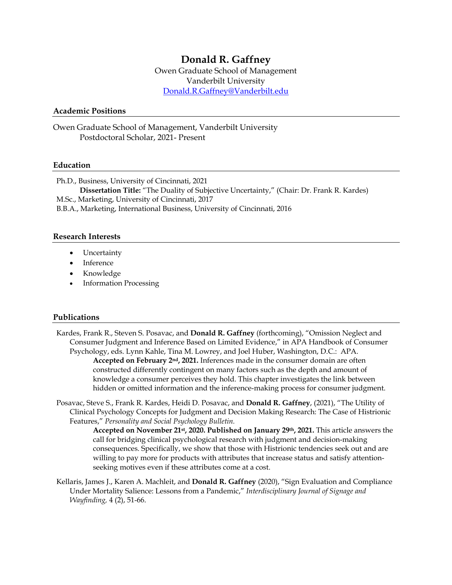# **Donald R. Gaffney**

Owen Graduate School of Management Vanderbilt University [Donald.](mailto:Donald)R.Gaffney@Vanderbilt.edu

### **Academic Positions**

Owen Graduate School of Management, Vanderbilt University Postdoctoral Scholar, 2021- Present

### **Education**

Ph.D., Business, University of Cincinnati, 2021 **Dissertation Title:** "The Duality of Subjective Uncertainty," (Chair: Dr. Frank R. Kardes) M.Sc., Marketing, University of Cincinnati, 2017 B.B.A., Marketing, International Business, University of Cincinnati, 2016

### **Research Interests**

- **Uncertainty**
- **Inference**
- Knowledge
- Information Processing

### **Publications**

- Kardes, Frank R., Steven S. Posavac, and **Donald R. Gaffney** (forthcoming), "Omission Neglect and Consumer Judgment and Inference Based on Limited Evidence," in APA Handbook of Consumer Psychology, eds. Lynn Kahle, Tina M. Lowrey, and Joel Huber, Washington, D.C.: APA. **Accepted on February 2<sup>nd</sup>, 2021.** Inferences made in the consumer domain are often constructed differently contingent on many factors such as the depth and amount of knowledge a consumer perceives they hold. This chapter investigates the link between hidden or omitted information and the inference-making process for consumer judgment.
- Posavac, Steve S., Frank R. Kardes, Heidi D. Posavac, and **Donald R. Gaffney**, (2021), "The Utility of Clinical Psychology Concepts for Judgment and Decision Making Research: The Case of Histrionic Features," *Personality and Social Psychology Bulletin.*

**Accepted on November 21 st, 2020. Published on January 29th, 2021.** This article answers the call for bridging clinical psychological research with judgment and decision-making consequences. Specifically, we show that those with Histrionic tendencies seek out and are willing to pay more for products with attributes that increase status and satisfy attentionseeking motives even if these attributes come at a cost.

Kellaris, James J., Karen A. Machleit, and **Donald R. Gaffney** (2020), "Sign Evaluation and Compliance Under Mortality Salience: Lessons from a Pandemic," *Interdisciplinary Journal of Signage and Wayfinding,* 4 (2), 51-66.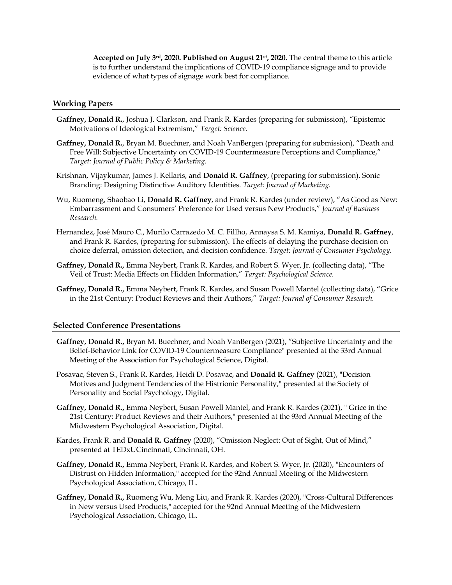**Accepted on July 3rd, 2020. Published on August 21st, 2020.** The central theme to this article is to further understand the implications of COVID-19 compliance signage and to provide evidence of what types of signage work best for compliance.

### **Working Papers**

- **Gaffney, Donald R.**, Joshua J. Clarkson, and Frank R. Kardes (preparing for submission), "Epistemic Motivations of Ideological Extremism," *Target: Science.*
- **Gaffney, Donald R.**, Bryan M. Buechner, and Noah VanBergen (preparing for submission), "Death and Free Will: Subjective Uncertainty on COVID-19 Countermeasure Perceptions and Compliance," *Target: Journal of Public Policy & Marketing.*
- Krishnan, Vijaykumar, James J. Kellaris, and **Donald R. Gaffney**, (preparing for submission). Sonic Branding: Designing Distinctive Auditory Identities. *Target: Journal of Marketing.*
- Wu, Ruomeng, Shaobao Li, **Donald R. Gaffney**, and Frank R. Kardes (under review), "As Good as New: Embarrassment and Consumers' Preference for Used versus New Products," *Journal of Business Research.*
- Hernandez, José Mauro C., Murilo Carrazedo M. C. Fillho, Annaysa S. M. Kamiya, **Donald R. Gaffney**, and Frank R. Kardes, (preparing for submission). The effects of delaying the purchase decision on choice deferral, omission detection, and decision confidence. *Target: Journal of Consumer Psychology.*
- **Gaffney, Donald R.,** Emma Neybert, Frank R. Kardes, and Robert S. Wyer, Jr. (collecting data), "The Veil of Trust: Media Effects on Hidden Information," *Target: Psychological Science.*
- **Gaffney, Donald R.,** Emma Neybert, Frank R. Kardes, and Susan Powell Mantel (collecting data), "Grice in the 21st Century: Product Reviews and their Authors," *Target: Journal of Consumer Research.*

### **Selected Conference Presentations**

- **Gaffney, Donald R.,** Bryan M. Buechner, and Noah VanBergen (2021), "Subjective Uncertainty and the Belief-Behavior Link for COVID-19 Countermeasure Compliance" presented at the 33rd Annual Meeting of the Association for Psychological Science, Digital.
- Posavac, Steven S., Frank R. Kardes, Heidi D. Posavac, and **Donald R. Gaffney** (2021), "Decision Motives and Judgment Tendencies of the Histrionic Personality," presented at the Society of Personality and Social Psychology, Digital.
- **Gaffney, Donald R.,** Emma Neybert, Susan Powell Mantel, and Frank R. Kardes (2021), " Grice in the 21st Century: Product Reviews and their Authors," presented at the 93rd Annual Meeting of the Midwestern Psychological Association, Digital.
- Kardes, Frank R. and **Donald R. Gaffney** (2020), "Omission Neglect: Out of Sight, Out of Mind," presented at TEDxUCincinnati, Cincinnati, OH.
- **Gaffney, Donald R.,** Emma Neybert, Frank R. Kardes, and Robert S. Wyer, Jr. (2020), "Encounters of Distrust on Hidden Information," accepted for the 92nd Annual Meeting of the Midwestern Psychological Association, Chicago, IL.
- **Gaffney, Donald R.,** Ruomeng Wu, Meng Liu, and Frank R. Kardes (2020), "Cross-Cultural Differences in New versus Used Products," accepted for the 92nd Annual Meeting of the Midwestern Psychological Association, Chicago, IL.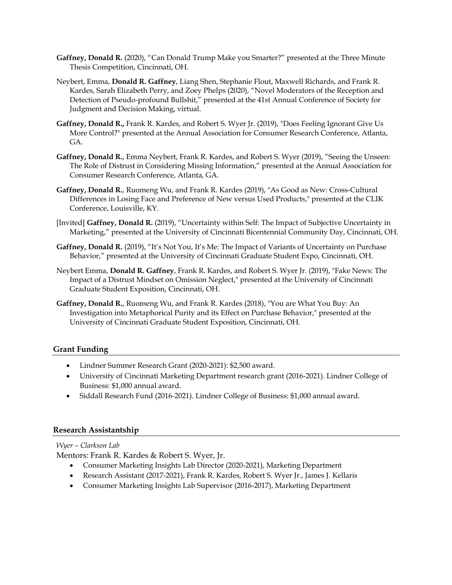- **Gaffney, Donald R.** (2020), "Can Donald Trump Make you Smarter?" presented at the Three Minute Thesis Competition, Cincinnati, OH.
- Neybert, Emma, **Donald R. Gaffney**, Liang Shen, Stephanie Flout, Maxwell Richards, and Frank R. Kardes, Sarah Elizabeth Perry, and Zoey Phelps (2020), "Novel Moderators of the Reception and Detection of Pseudo-profound Bullshit," presented at the 41st Annual Conference of Society for Judgment and Decision Making, virtual.
- **Gaffney, Donald R.,** Frank R. Kardes, and Robert S. Wyer Jr. (2019), "Does Feeling Ignorant Give Us More Control?" presented at the Annual Association for Consumer Research Conference, Atlanta, GA.
- **Gaffney, Donald R.**, Emma Neybert, Frank R. Kardes, and Robert S. Wyer (2019), "Seeing the Unseen: The Role of Distrust in Considering Missing Information," presented at the Annual Association for Consumer Research Conference, Atlanta, GA.
- **Gaffney, Donald R.**, Ruomeng Wu, and Frank R. Kardes (2019), "As Good as New: Cross-Cultural Differences in Losing Face and Preference of New versus Used Products," presented at the CLIK Conference, Louisville, KY.
- [Invited] **Gaffney, Donald R.** (2019), "Uncertainty within Self: The Impact of Subjective Uncertainty in Marketing," presented at the University of Cincinnati Bicentennial Community Day, Cincinnati, OH.
- **Gaffney, Donald R.** (2019), "It's Not You, It's Me: The Impact of Variants of Uncertainty on Purchase Behavior," presented at the University of Cincinnati Graduate Student Expo, Cincinnati, OH.
- Neybert Emma, **Donald R. Gaffney**, Frank R. Kardes, and Robert S. Wyer Jr. (2019), "Fake News: The Impact of a Distrust Mindset on Omission Neglect," presented at the University of Cincinnati Graduate Student Exposition, Cincinnati, OH.
- **Gaffney, Donald R.**, Ruomeng Wu, and Frank R. Kardes (2018), "You are What You Buy: An Investigation into Metaphorical Purity and its Effect on Purchase Behavior," presented at the University of Cincinnati Graduate Student Exposition, Cincinnati, OH.

### **Grant Funding**

- Lindner Summer Research Grant (2020-2021): \$2,500 award.
- University of Cincinnati Marketing Department research grant (2016-2021). Lindner College of Business: \$1,000 annual award.
- Siddall Research Fund (2016-2021). Lindner College of Business: \$1,000 annual award.

### **Research Assistantship**

## *Wyer – Clarkson Lab*

Mentors: Frank R. Kardes & Robert S. Wyer, Jr.

- Consumer Marketing Insights Lab Director (2020-2021), Marketing Department
- Research Assistant (2017-2021), Frank R. Kardes, Robert S. Wyer Jr., James J. Kellaris
- Consumer Marketing Insights Lab Supervisor (2016-2017), Marketing Department